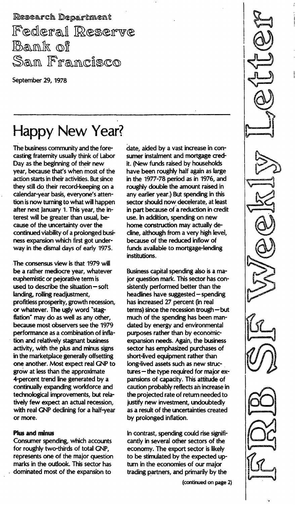Research Department Federal Reserve Bank of San Francisco

September 29, 1978

# Happy New Year?

The business community and the forecasting fraternity usually think of Labor Day as the beginning of their new year, because that's when most of the action starts in their activities. But since they still do their record-keeping on a calendar-year basis, everyone's attention is now turning to what will happen after next January 1. This year, the interest will be greater than usual, because of the uncertainty over the continued viability of a prolonged business expansion which first got underway in the dismal days of early 1975.

The consensus view is that 1979 will be a rather mediocre year, whatever euphemistic or pejorative term is used to describe the situation  $-$  soft landing, rolling readjustment, profitless prosperity, growth recession, or whatever. The ugly word "stagflation" may do as well as any other, because most observers see the 1979 performance as a combination of inflation and relatively stagnant business activity, with the plus and minus signs in the marketplace generally offsetting one another. Most expect real GNP to grow at less than the approximate 4-percent trend line generated by a continually expanding workforce and technological improvements, but relatively few expect an actual recession, with real GNP declining for a half-year or more.

#### Plus and minus

Consumer spending, which accounts for roughly two-thirds of total GNP, represents one of the major question marks in the outlook. This sector has dominated most of the expansion to

date, aided by a vast increase in consumer instalment and mortgage credit. (New funds raised by households have been roughly half again as large in the 1977-78 period as in 1976, and roughly double the amount raised in any earlier year.) But spending in this sector should now decelerate, at least in part because of a reduction in credit use. In addition, spending on new home construction may actually decline, although from a very high level, because of the reduced inflow of funds available to mortgage-lending institutions.

Business capital spending also is a major question mark. This sector has consistently performed better than the headlines have suggested - spending has increased 27 percent (in real terms) since the recession trough - but much of the spending has been mandated by energy and environmental purposes rather than by economicexpansion needs. Again, the business sector has emphasized purchases of short-lived equipment rather than long-lived assets such as new struc $tures$  - the type required for major expansions of capacity. This attitude of caution probably reflects an increase in the projected rate of return needed to justify new investment, undoubtedly as a result of the uncertainties created by prolonged inflation.

In contrast, spending could rise significantly in several other sectors of the economy. The export sector is likely to be stimulated by the expected upturn in the economies of our major trading partners, and primarily by the

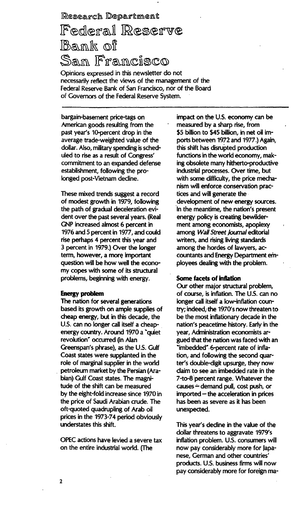### Research Department

## Federal Reserve Bank of San Francisco

Opinions expressed in this newsletter do not necessarily reflect the views of the management of the Federa! Reserve Bank of San Francisco, nor of the Board of Governors of the Federal Reserve System.

bargain-basement price-tags on American goods resulting from the past year's 10-percent drop in the average trade-weighted value of the dollar. Also, military spending is scheduled to rise as a result of Congress' commitment to an expanded defense establishment, following the prolonged post-Vietnam decline.

These mixed trends suggest a record of modest growth in 1979, following the path of gradual deceleration evident over the past several years. (Real GNP increased almost 6 percent in 1976 and 5 percent in 1977, and could rise perhaps 4 percent this year and 3 percent in 1979.) Over the longer term, however, a more important question will be how well the economy copes with some of its structural problems, beginning with energy.

#### Energy problem

The nation for several generations based its growth on ample supplies of cheap energy, but in this decade, the U.S. can no longer call itself a cheapenergy country. Around 1970 a "quiet revolution" occurred (in Alan Greenspan's phrase), as the U.S. Gulf Coast states were supplanted in the role of marginal supplier in the world petroleum market by the Persian (Arabian) Gulf Coast states. The magnitude of the shift can be measured by the eight-fold increase since 1970 in the price of Saudi Arabian crude. The oft-quoted quadrupling of Arab oil prices in the 1973-74 period obviously understates this shift.

OPEC actions have levied a severe tax on the entire industrial world. (The

impact on the U.S. economy can be measured by a sharp rise, from \$5 billion to \$45 billion, in net oil imports between 1972 and 1977.) Again, this shift has disrupted production functions in the world economy, making obsolete many hitherto-productive industrial processes. Over time, but with some difficulty, the price mechanism will enforce conservation practices and will generate the development of new energy sources. In the meantime, the nation's present energy policy is creating bewilderment among economists, apoplexy among Wall Street Journal editorial writers, and rising living standards among the hordes of lawyers, accountants and Energy Department employees dealing with the problem.

#### Some facets of inflation

Our other major structural problem, of course, is inflation. The U.S. can no longer call itself a low-inflation country; indeed, the 1970's now threaten to be the most inflationary decade in the nation's peacetime history. Early in the year, Administration economists argued that the nation was faced with an "imbedded" 6-percent rate of inflation, and following the second quarter's double-digit upsurge, they now claim to see an imbedded rate in the 7-to-8 percent range. Whatever the causes  $\div$  demand pull, cost push, or  $imported$  – the acceleration in prices has been as severe as it has been unexpected.

This year's decline in the value of the dollar threatens to aggravate 1979's inflation problem. U.S. consumers will now pay considerably more for Japanese, German and other countries' products. U.s. business firms will now pay considerably more for foreign ma-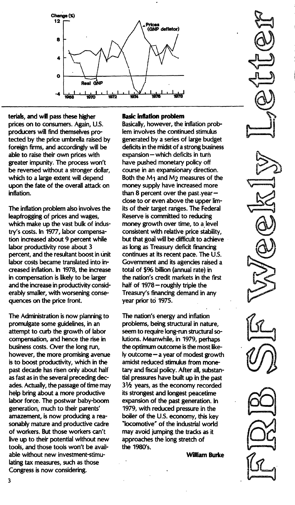

terials, and will pass these higher prices on to consumers. Again, U.S. producers will find themselves protected by the price umbrella raised by foreign firms, and accordingly will be able to raise their own prices with greater impunity. The process won't be reversed without a stronger dollar, which to a large extent will depend upon the fate of the overall attack on inflation.

The inflation problem also involves the leapfrogging of prices and wages, which make up the vast bulk of industry's costs. In 1977, labor compensation increased about 9 percent while labor productivity rose about 3 percent, and the resultant boost in unit labor costs became translated into increased inflation. In 1978, the increase in compensation is likely to be larger and the increase in productivity considerably smaller, with worsening consequences on the price front.

The Administration is now planning to promulgate some guidelines, in an attempt to curb the growth of labor compensation, and hence the rise in business costs. Over the long run, however, the more promising avenue is to boost productivity, which in the past decade has risen only about half as fast as in the several preceding decades. Actually, the passage of time may help bring about a more productive labor force. The postwar baby-boom generation, much to their parents' amazement, is now producing a reasonably mature and productive cadre of workers. But those workers can't live up to their potential without new tools, and those tools won't be available without new investment-stimulating tax measures, such as those Congress is now considering.

#### **Basic inflation problem**

Basically, however, the inflation problem involves the continued stimulus generated by a series of large budget deficits in the midst of a strong business  $expanion$  - which deficits in turn have pushed monetary policy off course in an expansionary direction. Both the M1 and M2 measures of the money supply have increased more than 8 percent over the past year  $$ close to or even above the upper limits of their target rariges. The Federal Reserve is committed to reducing money growth over time, to a level consistent with relative price stability, but that goa] will be difficult to achieve as long as Treasury deficit financing continues at its recent pace. The U.5. Government and its agencies raised a total of \$96 billion (annual rate) in the nation's credit markets in the first half of 1978 - roughly triple the Treasury's financing demand in any year prior to 1975.

The nation's energy and inflation problems, being structural in nature, seem to require lang-run structural solutions. Meanwhile, in 1979, perhaps the optimum outcome is the most like- $\mathsf h$  outcome  $-\mathsf a$  year of modest growth amidst reduced stimulus from monetary and fiscal policy. After all, substantial pressures have built up in the past  $3\frac{1}{2}$  years, as the economy recorded its strongest and longest peacetime expansion of the past generation. In 1979, with reduced pressure in the boiler of the U.S. economy, this key "locomotive" of the industrial world may avoid jumping the tracks as it approaches the long stretch of the 1980's.

William Burke